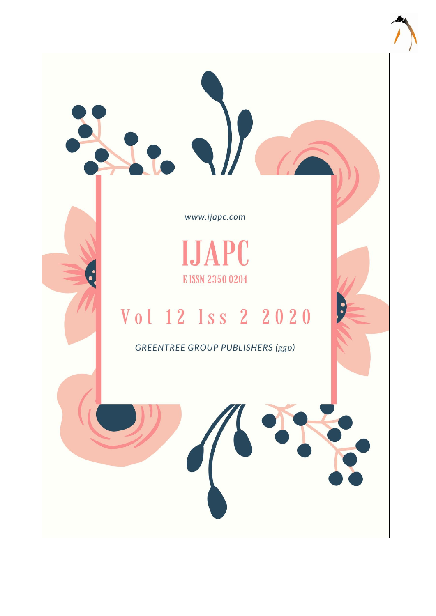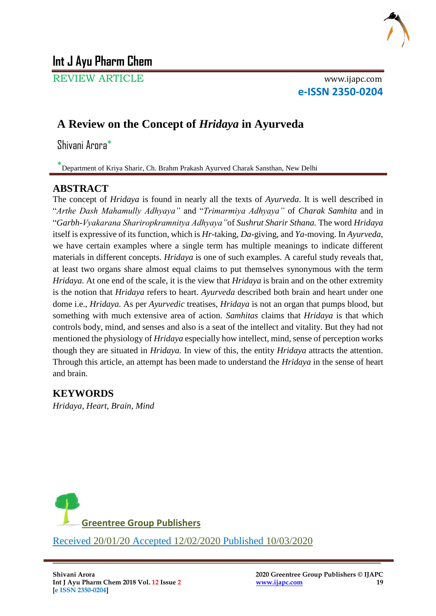

# **Int J Ayu Pharm Chem**

REVIEW ARTICLE www.ijapc.com

**e-ISSN 2350-0204**

## **A Review on the Concept of** *Hridaya* **in Ayurveda**

Shivani Arora\*

\* Department of Kriya Sharir, Ch. Brahm Prakash Ayurved Charak Sansthan, New Delhi

#### **ABSTRACT**

The concept of *Hridaya* is found in nearly all the texts of *Ayurveda*. It is well described in "*Arthe Dash Mahamully Adhyaya"* and "*Trimarmiya Adhyaya"* of *Charak Samhita* and in "*Garbh-Vyakarana Shariropkramnitya Adhyaya"*of *Sushrut Sharir Sthana.* The word *Hridaya*  itself is expressive of its function, which is *Hr-*taking, *Da-*giving, and *Ya-*moving. In *Ayurveda*, we have certain examples where a single term has multiple meanings to indicate different materials in different concepts. *Hridaya* is one of such examples. A careful study reveals that, at least two organs share almost equal claims to put themselves synonymous with the term *Hridaya.* At one end of the scale, it is the view that *Hridaya* is brain and on the other extremity is the notion that *Hridaya* refers to heart. *Ayurveda* described both brain and heart under one dome i.e., *Hridaya.* As per *Ayurvedic* treatises, *Hridaya* is not an organ that pumps blood, but something with much extensive area of action. *Samhitas* claims that *Hridaya* is that which controls body, mind, and senses and also is a seat of the intellect and vitality. But they had not mentioned the physiology of *Hridaya* especially how intellect, mind, sense of perception works though they are situated in *Hridaya.* In view of this, the entity *Hridaya* attracts the attention. Through this article, an attempt has been made to understand the *Hridaya* in the sense of heart and brain.

 $\overline{\phantom{a}}$  , and the contribution of the contribution of the contribution of the contribution of the contribution of the contribution of the contribution of the contribution of the contribution of the contribution of the

### **KEYWORDS**

*Hridaya, Heart, Brain, Mind*

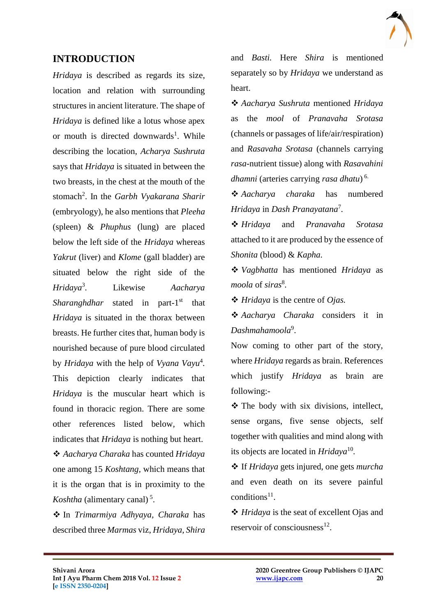#### **INTRODUCTION**

*Hridaya* is described as regards its size, location and relation with surrounding structures in ancient literature. The shape of *Hridaya* is defined like a lotus whose apex or mouth is directed downwards<sup>1</sup>. While describing the location, *Acharya Sushruta*  says that *Hridaya* is situated in between the two breasts, in the chest at the mouth of the stomach<sup>2</sup>. In the *Garbh Vyakarana Sharir* (embryology), he also mentions that *Pleeha*  (spleen) & *Phuphus* (lung) are placed below the left side of the *Hridaya* whereas *Yakrut* (liver) and *Klome* (gall bladder) are situated below the right side of the *Hridaya*<sup>3</sup> *.* Likewise *Aacharya*  Sharanghdhar stated in part-1<sup>st</sup> that *Hridaya* is situated in the thorax between breasts. He further cites that, human body is nourished because of pure blood circulated by *Hridaya* with the help of *Vyana Vayu*<sup>4</sup> *.* This depiction clearly indicates that *Hridaya* is the muscular heart which is found in thoracic region. There are some other references listed below*,* which indicates that *Hridaya* is nothing but heart. *Aacharya Charaka* has counted *Hridaya* one among 15 *Koshtang,* which means that it is the organ that is in proximity to the

Koshtha (alimentary canal)<sup>5</sup>.

 In *Trimarmiya Adhyaya, Charaka* has described three *Marmas* viz, *Hridaya*, *Shira* 

 $\mathcal{L}_\mathcal{L}$  , and the contribution of the contribution of the contribution of the contribution of the contribution of the contribution of the contribution of the contribution of the contribution of the contribution of

and *Basti.* Here *Shira* is mentioned separately so by *Hridaya* we understand as heart.

 *Aacharya Sushruta* mentioned *Hridaya*  as the *mool* of *Pranavaha Srotasa*  (channels or passages of life/air/respiration) and *Rasavaha Srotasa* (channels carrying *rasa-*nutrient tissue) along with *Rasavahini dhamni* (arteries carrying *rasa dhatu*) 6.

 *Aacharya charaka* has numbered *Hridaya* in *Dash Pranayatana*<sup>7</sup> *.*

 *Hridaya* and *Pranavaha Srotasa*  attached to it are produced by the essence of *Shonita* (blood) & *Kapha.*

 *Vagbhatta* has mentioned *Hridaya* as *moola* of *siras*<sup>8</sup> *.*

*Hridaya* is the centre of *Ojas.*

 *Aacharya Charaka* considers it in *Dashmahamoola*<sup>9</sup> .

Now coming to other part of the story, where *Hridaya* regards as brain. References which justify *Hridaya* as brain are following:-

 The body with six divisions, intellect, sense organs, five sense objects, self together with qualities and mind along with its objects are located in *Hridaya*<sup>10</sup> *.*

 If *Hridaya* gets injured, one gets *murcha* and even death on its severe painful  $conditions<sup>11</sup>$ .

 *Hridaya* is the seat of excellent Ojas and reservoir of consciousness $^{12}$ .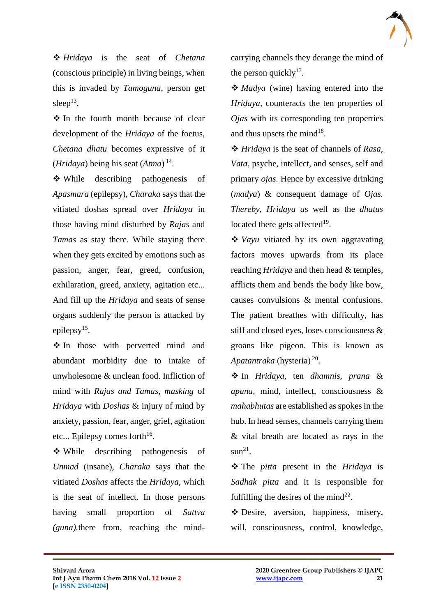*Hridaya* is the seat of *Chetana*  (conscious principle) in living beings, when this is invaded by *Tamoguna*, person get sleep $13$ .

 $\triangle$  In the fourth month because of clear development of the *Hridaya* of the foetus, *Chetana dhatu* becomes expressive of it (*Hridaya*) being his seat (*Atma*) 14 .

 While describing pathogenesis of *Apasmara* (epilepsy), *Charaka* says that the vitiated doshas spread over *Hridaya* in those having mind disturbed by *Rajas* and *Tamas* as stay there. While staying there when they gets excited by emotions such as passion, anger, fear, greed, confusion, exhilaration, greed, anxiety, agitation etc... And fill up the *Hridaya* and seats of sense organs suddenly the person is attacked by epilepsy<sup>15</sup>.

 In those with perverted mind and abundant morbidity due to intake of unwholesome & unclean food. Infliction of mind with *Rajas and Tamas, masking* of *Hridaya* with *Doshas* & injury of mind by anxiety, passion, fear, anger, grief, agitation etc... Epilepsy comes forth $16$ .

 While describing pathogenesis of *Unmad* (insane), *Charaka* says that the vitiated *Doshas* affects the *Hridaya,* which is the seat of intellect. In those persons having small proportion of *Sattva (guna).*there from, reaching the mindcarrying channels they derange the mind of the person quickly $17$ .

 *Madya* (wine) having entered into the *Hridaya,* counteracts the ten properties of *Ojas* with its corresponding ten properties and thus upsets the mind $18$ .

 *Hridaya* is the seat of channels of *Rasa, Vata,* psyche, intellect, and senses, self and primary *ojas*. Hence by excessive drinking (*madya*) & consequent damage of *Ojas. Thereby, Hridaya a*s well as the *dhatus*  located there gets affected $19$ .

 *Vayu* vitiated by its own aggravating factors moves upwards from its place reaching *Hridaya* and then head & temples, afflicts them and bends the body like bow, causes convulsions & mental confusions. The patient breathes with difficulty, has stiff and closed eyes, loses consciousness & groans like pigeon. This is known as Apatantraka (hysteria) <sup>20</sup>.

 In *Hridaya,* ten *dhamnis, prana* & *apana,* mind, intellect, consciousness & *mahabhutas* are established as spokes in the hub. In head senses, channels carrying them & vital breath are located as rays in the  $sum<sup>21</sup>$ .

 The *pitta* present in the *Hridaya* is *Sadhak pitta* and it is responsible for fulfilling the desires of the mind $^{22}$ .

 Desire, aversion, happiness, misery, will, consciousness, control, knowledge,

 $\mathcal{L}_\mathcal{L}$  , and the contribution of the contribution of the contribution of the contribution of the contribution of the contribution of the contribution of the contribution of the contribution of the contribution of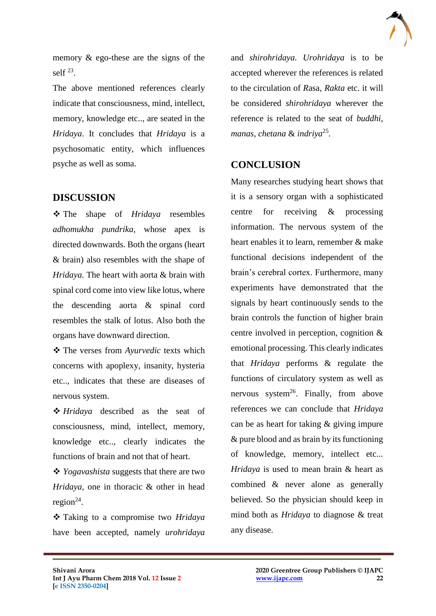memory & ego-these are the signs of the self  $^{23}$ .

The above mentioned references clearly indicate that consciousness, mind, intellect, memory, knowledge etc.., are seated in the *Hridaya*. It concludes that *Hridaya* is a psychosomatic entity, which influences psyche as well as soma.

#### **DISCUSSION**

 The shape of *Hridaya* resembles *adhomukha pundrika,* whose apex is directed downwards. Both the organs (heart & brain) also resembles with the shape of *Hridaya.* The heart with aorta & brain with spinal cord come into view like lotus, where the descending aorta & spinal cord resembles the stalk of lotus. Also both the organs have downward direction.

 The verses from *Ayurvedic* texts which concerns with apoplexy, insanity, hysteria etc.., indicates that these are diseases of nervous system.

 *Hridaya* described as the seat of consciousness, mind, intellect, memory, knowledge etc.., clearly indicates the functions of brain and not that of heart.

 *Yogavashista* suggests that there are two *Hridaya,* one in thoracic & other in head region $^{24}$ .

 Taking to a compromise two *Hridaya* have been accepted, namely *urohridaya* 

 $\mathcal{L}_\mathcal{L}$  , and the contribution of the contribution of the contribution of the contribution of the contribution of the contribution of the contribution of the contribution of the contribution of the contribution of

and *shirohridaya. Urohridaya* is to be accepted wherever the references is related to the circulation of *R*asa, *Rakta* etc. it will be considered *shirohridaya* wherever the reference is related to the seat of *buddhi, manas, chetana* & *indriya*<sup>25</sup> *.*

### **CONCLUSION**

Many researches studying heart shows that it is a sensory organ with a sophisticated centre for receiving & processing information. The nervous system of the heart enables it to learn, remember & make functional decisions independent of the brain's cerebral cortex. Furthermore, many experiments have demonstrated that the signals by heart continuously sends to the brain controls the function of higher brain centre involved in perception, cognition & emotional processing. This clearly indicates that *Hridaya* performs & regulate the functions of circulatory system as well as nervous system<sup>26</sup>. Finally, from above references we can conclude that *Hridaya* can be as heart for taking & giving impure & pure blood and as brain by its functioning of knowledge, memory, intellect etc... *Hridaya* is used to mean brain & heart as combined & never alone as generally believed. So the physician should keep in mind both as *Hridaya* to diagnose & treat any disease.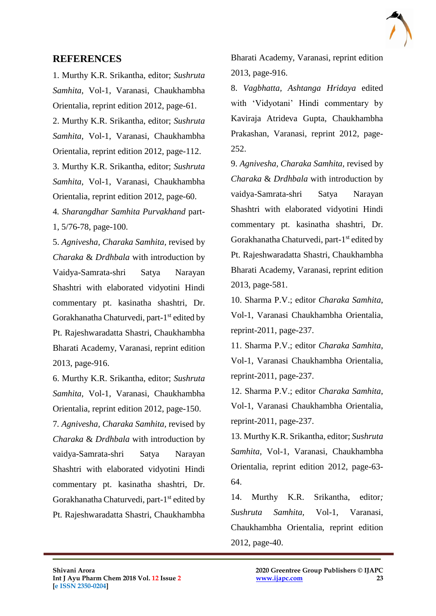#### **REFERENCES**

1. Murthy K.R. Srikantha, editor; *Sushruta Samhita*, Vol-1, Varanasi, Chaukhambha Orientalia, reprint edition 2012, page-61.

2. Murthy K.R. Srikantha, editor; *Sushruta Samhita*, Vol-1, Varanasi, Chaukhambha Orientalia, reprint edition 2012, page-112.

3. Murthy K.R. Srikantha, editor; *Sushruta Samhita*, Vol-1, Varanasi, Chaukhambha Orientalia, reprint edition 2012, page-60.

4*. Sharangdhar Samhita Purvakhand* part-1, 5/76-78, page-100.

5. *Agnivesha, Charaka Samhita,* revised by *Charaka* & *Drdhbala* with introduction by Vaidya-Samrata-shri Satya Narayan Shashtri with elaborated vidyotini Hindi commentary pt. kasinatha shashtri, Dr. Gorakhanatha Chaturvedi, part-1<sup>st</sup> edited by Pt. Rajeshwaradatta Shastri, Chaukhambha Bharati Academy, Varanasi, reprint edition 2013, page-916.

6. Murthy K.R. Srikantha, editor; *Sushruta Samhita*, Vol-1, Varanasi, Chaukhambha Orientalia, reprint edition 2012, page-150.

7*. Agnivesha, Charaka Samhita,* revised by *Charaka* & *Drdhbala* with introduction by vaidya-Samrata-shri Satya Narayan Shashtri with elaborated vidyotini Hindi commentary pt. kasinatha shashtri, Dr. Gorakhanatha Chaturvedi, part-1<sup>st</sup> edited by Pt. Rajeshwaradatta Shastri, Chaukhambha Bharati Academy, Varanasi, reprint edition 2013, page-916.

8. *Vagbhatta, Ashtanga Hridaya* edited with 'Vidyotani' Hindi commentary by Kaviraja Atrideva Gupta, Chaukhambha Prakashan, Varanasi, reprint 2012, page-252.

9. *Agnivesha, Charaka Samhita,* revised by *Charaka* & *Drdhbala* with introduction by vaidya-Samrata-shri Satya Narayan Shashtri with elaborated vidyotini Hindi commentary pt. kasinatha shashtri, Dr. Gorakhanatha Chaturvedi, part-1<sup>st</sup> edited by Pt. Rajeshwaradatta Shastri, Chaukhambha Bharati Academy, Varanasi, reprint edition 2013, page-581.

10. Sharma P.V.; editor *Charaka Samhita*, Vol-1, Varanasi Chaukhambha Orientalia, reprint-2011, page-237.

11. Sharma P.V.; editor *Charaka Samhita*, Vol-1, Varanasi Chaukhambha Orientalia, reprint-2011, page-237.

12. Sharma P.V.; editor *Charaka Samhita*, Vol-1, Varanasi Chaukhambha Orientalia, reprint-2011, page-237.

13. Murthy K.R. Srikantha, editor; *Sushruta Samhita*, Vol-1, Varanasi, Chaukhambha Orientalia, reprint edition 2012, page-63- 64.

14. Murthy K.R. Srikantha, editor*; Sushruta Samhita,* Vol-1, Varanasi, Chaukhambha Orientalia, reprint edition 2012, page-40.

 $\mathcal{L}_\mathcal{L}$  , and the contribution of the contribution of the contribution of the contribution of the contribution of the contribution of the contribution of the contribution of the contribution of the contribution of